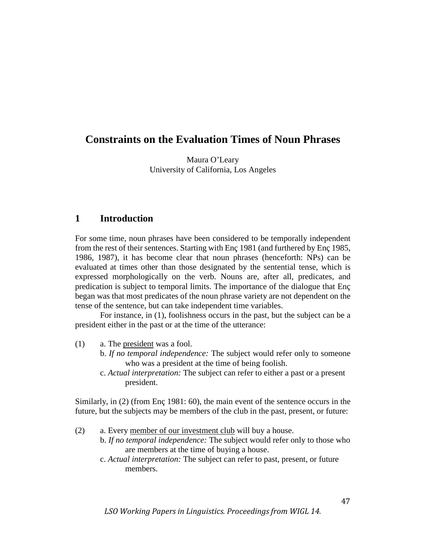# **Constraints on the Evaluation Times of Noun Phrases**

Maura O'Leary University of California, Los Angeles

# **1 Introduction**

For some time, noun phrases have been considered to be temporally independent from the rest of their sentences. Starting with Enç 1981 (and furthered by Enç 1985, 1986, 1987), it has become clear that noun phrases (henceforth: NPs) can be evaluated at times other than those designated by the sentential tense, which is expressed morphologically on the verb. Nouns are, after all, predicates, and predication is subject to temporal limits. The importance of the dialogue that Enç began was that most predicates of the noun phrase variety are not dependent on the tense of the sentence, but can take independent time variables.

For instance, in (1), foolishness occurs in the past, but the subject can be a president either in the past or at the time of the utterance:

- (1) a. The president was a fool.
	- b. *If no temporal independence:* The subject would refer only to someone who was a president at the time of being foolish.
	- c. *Actual interpretation:* The subject can refer to either a past or a present president.

Similarly, in (2) (from Enç 1981: 60), the main event of the sentence occurs in the future, but the subjects may be members of the club in the past, present, or future:

- (2) a. Every member of our investment club will buy a house.
	- b. *If no temporal independence:* The subject would refer only to those who are members at the time of buying a house.
	- c. *Actual interpretation:* The subject can refer to past, present, or future members.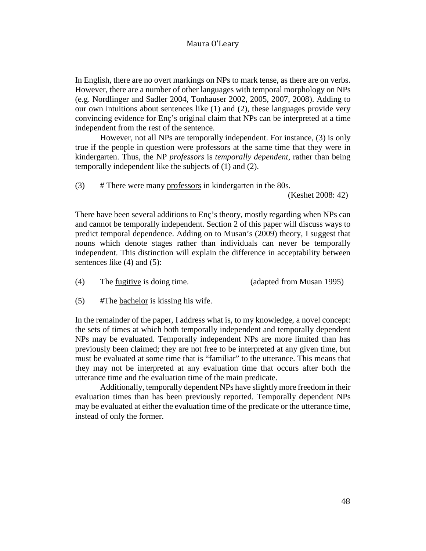In English, there are no overt markings on NPs to mark tense, as there are on verbs. However, there are a number of other languages with temporal morphology on NPs (e.g. Nordlinger and Sadler 2004, Tonhauser 2002, 2005, 2007, 2008). Adding to our own intuitions about sentences like (1) and (2), these languages provide very convincing evidence for Enç's original claim that NPs can be interpreted at a time independent from the rest of the sentence.

However, not all NPs are temporally independent. For instance, (3) is only true if the people in question were professors at the same time that they were in kindergarten. Thus, the NP *professors* is *temporally dependent*, rather than being temporally independent like the subjects of (1) and (2).

(3) # There were many professors in kindergarten in the 80s.

(Keshet 2008: 42)

There have been several additions to Enç's theory, mostly regarding when NPs can and cannot be temporally independent. Section 2 of this paper will discuss ways to predict temporal dependence. Adding on to Musan's (2009) theory, I suggest that nouns which denote stages rather than individuals can never be temporally independent. This distinction will explain the difference in acceptability between sentences like (4) and (5):

- (4) The fugitive is doing time. (adapted from Musan 1995)
- (5) #The bachelor is kissing his wife.

In the remainder of the paper, I address what is, to my knowledge, a novel concept: the sets of times at which both temporally independent and temporally dependent NPs may be evaluated. Temporally independent NPs are more limited than has previously been claimed; they are not free to be interpreted at any given time, but must be evaluated at some time that is "familiar" to the utterance. This means that they may not be interpreted at any evaluation time that occurs after both the utterance time and the evaluation time of the main predicate.

Additionally, temporally dependent NPs have slightly more freedom in their evaluation times than has been previously reported. Temporally dependent NPs may be evaluated at either the evaluation time of the predicate or the utterance time, instead of only the former.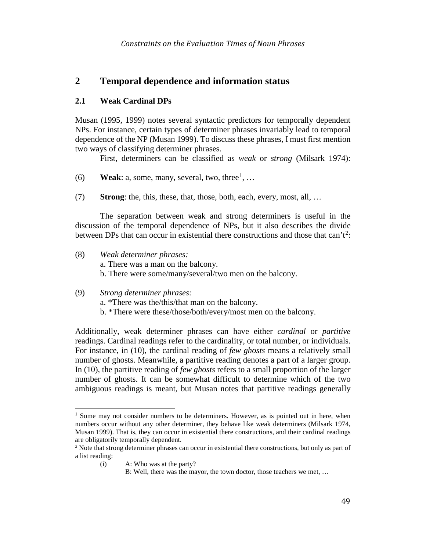# **2 Temporal dependence and information status**

#### **2.1 Weak Cardinal DPs**

Musan (1995, 1999) notes several syntactic predictors for temporally dependent NPs. For instance, certain types of determiner phrases invariably lead to temporal dependence of the NP (Musan 1999). To discuss these phrases, I must first mention two ways of classifying determiner phrases.

First, determiners can be classified as *weak* or *strong* (Milsark 1974):

- (6) **Weak**: a, some, many, several, two, three<sup>[1](#page-2-0)</sup>, ...
- (7) **Strong**: the, this, these, that, those, both, each, every, most, all, …

The separation between weak and strong determiners is useful in the discussion of the temporal dependence of NPs, but it also describes the divide between DPs that can occur in existential there constructions and those that can't<sup>[2](#page-2-1)</sup>:

- (8) *Weak determiner phrases:*
	- a. There was a man on the balcony.
	- b. There were some/many/several/two men on the balcony.
- (9) *Strong determiner phrases:*
	- a. \*There was the/this/that man on the balcony.
	- b. \*There were these/those/both/every/most men on the balcony.

Additionally, weak determiner phrases can have either *cardinal* or *partitive*  readings. Cardinal readings refer to the cardinality, or total number, or individuals. For instance, in (10), the cardinal reading of *few ghosts* means a relatively small number of ghosts. Meanwhile, a partitive reading denotes a part of a larger group. In (10), the partitive reading of *few ghosts* refers to a small proportion of the larger number of ghosts. It can be somewhat difficult to determine which of the two ambiguous readings is meant, but Musan notes that partitive readings generally

<span id="page-2-0"></span> $<sup>1</sup>$  Some may not consider numbers to be determiners. However, as is pointed out in here, when</sup> numbers occur without any other determiner, they behave like weak determiners (Milsark 1974, Musan 1999). That is, they can occur in existential there constructions, and their cardinal readings are obligatorily temporally dependent.

<span id="page-2-1"></span><sup>&</sup>lt;sup>2</sup> Note that strong determiner phrases can occur in existential there constructions, but only as part of a list reading:

<sup>(</sup>i) A: Who was at the party?

B: Well, there was the mayor, the town doctor, those teachers we met, …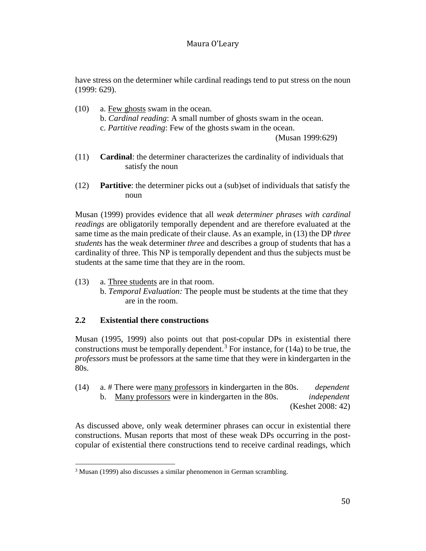have stress on the determiner while cardinal readings tend to put stress on the noun (1999: 629).

- (10) a. Few ghosts swam in the ocean. b. *Cardinal reading*: A small number of ghosts swam in the ocean. c. *Partitive reading*: Few of the ghosts swam in the ocean.
	- (Musan 1999:629)
- (11) **Cardinal**: the determiner characterizes the cardinality of individuals that satisfy the noun
- (12) **Partitive**: the determiner picks out a (sub)set of individuals that satisfy the noun

Musan (1999) provides evidence that all *weak determiner phrases with cardinal readings* are obligatorily temporally dependent and are therefore evaluated at the same time as the main predicate of their clause. As an example, in (13) the DP *three students* has the weak determiner *three* and describes a group of students that has a cardinality of three. This NP is temporally dependent and thus the subjects must be students at the same time that they are in the room.

- (13) a. Three students are in that room.
	- b. *Temporal Evaluation:* The people must be students at the time that they are in the room.

## **2.2 Existential there constructions**

Musan (1995, 1999) also points out that post-copular DPs in existential there constructions must be temporally dependent.<sup>[3](#page-3-0)</sup> For instance, for  $(14a)$  to be true, the *professors* must be professors at the same time that they were in kindergarten in the 80s.

(14) a. # There were many professors in kindergarten in the 80s. *dependent* b. Many professors were in kindergarten in the 80s. *independent* (Keshet 2008: 42)

As discussed above, only weak determiner phrases can occur in existential there constructions. Musan reports that most of these weak DPs occurring in the postcopular of existential there constructions tend to receive cardinal readings, which

<span id="page-3-0"></span><sup>&</sup>lt;sup>3</sup> Musan (1999) also discusses a similar phenomenon in German scrambling.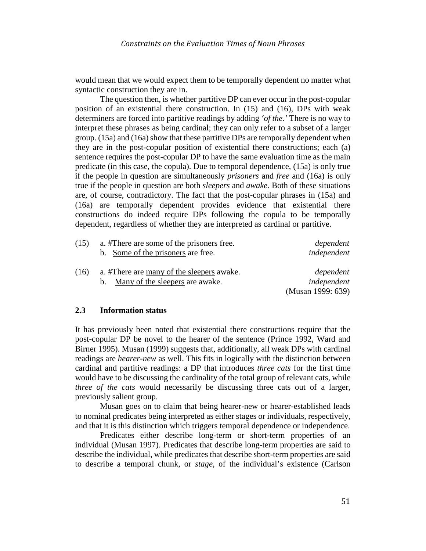would mean that we would expect them to be temporally dependent no matter what syntactic construction they are in.

The question then, is whether partitive DP can ever occur in the post-copular position of an existential there construction. In (15) and (16), DPs with weak determiners are forced into partitive readings by adding *'of the.'* There is no way to interpret these phrases as being cardinal; they can only refer to a subset of a larger group. (15a) and (16a) show that these partitive DPs are temporally dependent when they are in the post-copular position of existential there constructions; each (a) sentence requires the post-copular DP to have the same evaluation time as the main predicate (in this case, the copula). Due to temporal dependence, (15a) is only true if the people in question are simultaneously *prisoners* and *free* and (16a) is only true if the people in question are both *sleepers* and *awake.* Both of these situations are, of course, contradictory. The fact that the post-copular phrases in (15a) and (16a) are temporally dependent provides evidence that existential there constructions do indeed require DPs following the copula to be temporally dependent, regardless of whether they are interpreted as cardinal or partitive.

| dependent         | a. #There are some of the prisoners free. | (15) |
|-------------------|-------------------------------------------|------|
| independent       | b. Some of the prisoners are free.        |      |
| dependent         | a. #There are many of the sleepers awake. | (16) |
| independent       | b. Many of the sleepers are awake.        |      |
| (Musan 1999: 639) |                                           |      |

#### **2.3 Information status**

It has previously been noted that existential there constructions require that the post-copular DP be novel to the hearer of the sentence (Prince 1992, Ward and Birner 1995). Musan (1999) suggests that, additionally, all weak DPs with cardinal readings are *hearer-new* as well. This fits in logically with the distinction between cardinal and partitive readings: a DP that introduces *three cats* for the first time would have to be discussing the cardinality of the total group of relevant cats, while *three of the cats* would necessarily be discussing three cats out of a larger, previously salient group.

Musan goes on to claim that being hearer-new or hearer-established leads to nominal predicates being interpreted as either stages or individuals, respectively, and that it is this distinction which triggers temporal dependence or independence.

Predicates either describe long-term or short-term properties of an individual (Musan 1997). Predicates that describe long-term properties are said to describe the individual, while predicates that describe short-term properties are said to describe a temporal chunk, or *stage*, of the individual's existence (Carlson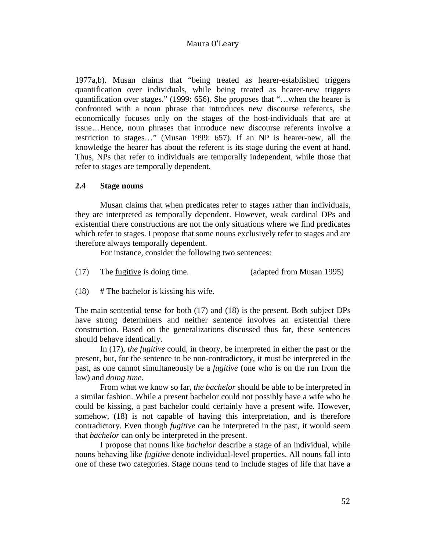1977a,b). Musan claims that "being treated as hearer-established triggers quantification over individuals, while being treated as hearer-new triggers quantification over stages." (1999: 656). She proposes that "…when the hearer is confronted with a noun phrase that introduces new discourse referents, she economically focuses only on the stages of the host-individuals that are at issue…Hence, noun phrases that introduce new discourse referents involve a restriction to stages…" (Musan 1999: 657). If an NP is hearer-new, all the knowledge the hearer has about the referent is its stage during the event at hand. Thus, NPs that refer to individuals are temporally independent, while those that refer to stages are temporally dependent.

#### **2.4 Stage nouns**

Musan claims that when predicates refer to stages rather than individuals, they are interpreted as temporally dependent. However, weak cardinal DPs and existential there constructions are not the only situations where we find predicates which refer to stages. I propose that some nouns exclusively refer to stages and are therefore always temporally dependent.

For instance, consider the following two sentences:

(17) The fugitive is doing time. (adapted from Musan 1995)

 $(18)$  # The bachelor is kissing his wife.

The main sentential tense for both (17) and (18) is the present. Both subject DPs have strong determiners and neither sentence involves an existential there construction. Based on the generalizations discussed thus far, these sentences should behave identically.

In (17), *the fugitive* could, in theory, be interpreted in either the past or the present, but, for the sentence to be non-contradictory, it must be interpreted in the past, as one cannot simultaneously be a *fugitive* (one who is on the run from the law) and *doing time*.

From what we know so far, *the bachelor* should be able to be interpreted in a similar fashion. While a present bachelor could not possibly have a wife who he could be kissing, a past bachelor could certainly have a present wife. However, somehow, (18) is not capable of having this interpretation, and is therefore contradictory. Even though *fugitive* can be interpreted in the past, it would seem that *bachelor* can only be interpreted in the present.

I propose that nouns like *bachelor* describe a stage of an individual, while nouns behaving like *fugitive* denote individual-level properties. All nouns fall into one of these two categories. Stage nouns tend to include stages of life that have a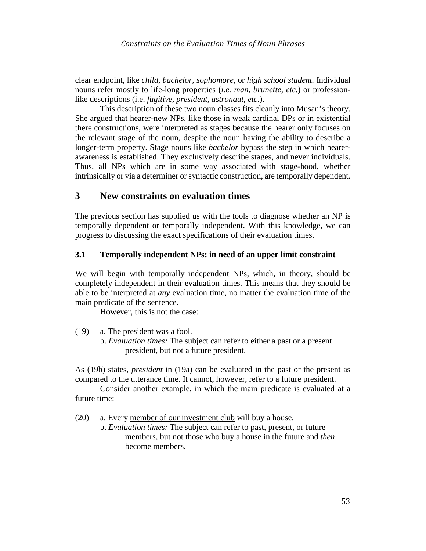clear endpoint, like *child, bachelor, sophomore,* or *high school student.* Individual nouns refer mostly to life-long properties (*i.e. man, brunette, etc.*) or professionlike descriptions (i.e. *fugitive, president, astronaut, etc.*).

This description of these two noun classes fits cleanly into Musan's theory. She argued that hearer-new NPs, like those in weak cardinal DPs or in existential there constructions, were interpreted as stages because the hearer only focuses on the relevant stage of the noun, despite the noun having the ability to describe a longer-term property. Stage nouns like *bachelor* bypass the step in which hearerawareness is established. They exclusively describe stages, and never individuals. Thus, all NPs which are in some way associated with stage-hood, whether intrinsically or via a determiner or syntactic construction, are temporally dependent.

# **3 New constraints on evaluation times**

The previous section has supplied us with the tools to diagnose whether an NP is temporally dependent or temporally independent. With this knowledge, we can progress to discussing the exact specifications of their evaluation times.

#### **3.1 Temporally independent NPs: in need of an upper limit constraint**

We will begin with temporally independent NPs, which, in theory, should be completely independent in their evaluation times. This means that they should be able to be interpreted at *any* evaluation time, no matter the evaluation time of the main predicate of the sentence.

However, this is not the case:

- (19) a. The president was a fool.
	- b. *Evaluation times:* The subject can refer to either a past or a present president, but not a future president.

As (19b) states, *president* in (19a) can be evaluated in the past or the present as compared to the utterance time. It cannot, however, refer to a future president.

Consider another example, in which the main predicate is evaluated at a future time:

(20) a. Every member of our investment club will buy a house.

b. *Evaluation times:* The subject can refer to past, present, or future members, but not those who buy a house in the future and *then* become members.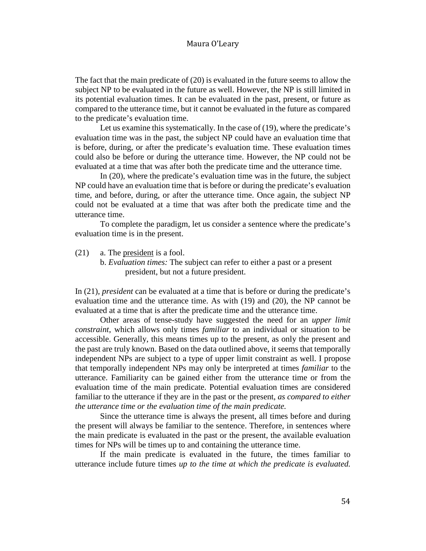The fact that the main predicate of (20) is evaluated in the future seems to allow the subject NP to be evaluated in the future as well. However, the NP is still limited in its potential evaluation times. It can be evaluated in the past, present, or future as compared to the utterance time, but it cannot be evaluated in the future as compared to the predicate's evaluation time.

Let us examine this systematically. In the case of (19), where the predicate's evaluation time was in the past, the subject NP could have an evaluation time that is before, during, or after the predicate's evaluation time. These evaluation times could also be before or during the utterance time. However, the NP could not be evaluated at a time that was after both the predicate time and the utterance time.

In (20), where the predicate's evaluation time was in the future, the subject NP could have an evaluation time that is before or during the predicate's evaluation time, and before, during, or after the utterance time. Once again, the subject NP could not be evaluated at a time that was after both the predicate time and the utterance time.

To complete the paradigm, let us consider a sentence where the predicate's evaluation time is in the present.

(21) a. The president is a fool.

b. *Evaluation times:* The subject can refer to either a past or a present president, but not a future president.

In (21), *president* can be evaluated at a time that is before or during the predicate's evaluation time and the utterance time. As with (19) and (20), the NP cannot be evaluated at a time that is after the predicate time and the utterance time.

Other areas of tense-study have suggested the need for an *upper limit constraint*, which allows only times *familiar* to an individual or situation to be accessible. Generally, this means times up to the present, as only the present and the past are truly known. Based on the data outlined above, it seems that temporally independent NPs are subject to a type of upper limit constraint as well. I propose that temporally independent NPs may only be interpreted at times *familiar* to the utterance. Familiarity can be gained either from the utterance time or from the evaluation time of the main predicate. Potential evaluation times are considered familiar to the utterance if they are in the past or the present, *as compared to either the utterance time or the evaluation time of the main predicate.*

Since the utterance time is always the present, all times before and during the present will always be familiar to the sentence. Therefore, in sentences where the main predicate is evaluated in the past or the present, the available evaluation times for NPs will be times up to and containing the utterance time.

If the main predicate is evaluated in the future, the times familiar to utterance include future times *up to the time at which the predicate is evaluated.*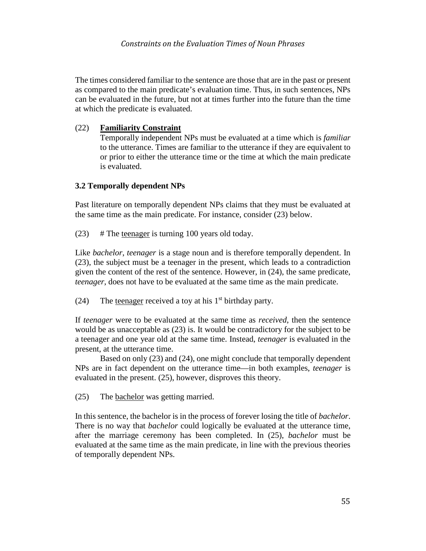The times considered familiar to the sentence are those that are in the past or present as compared to the main predicate's evaluation time. Thus, in such sentences, NPs can be evaluated in the future, but not at times further into the future than the time at which the predicate is evaluated.

## (22) **Familiarity Constraint**

Temporally independent NPs must be evaluated at a time which is *familiar*  to the utterance. Times are familiar to the utterance if they are equivalent to or prior to either the utterance time or the time at which the main predicate is evaluated.

## **3.2 Temporally dependent NPs**

Past literature on temporally dependent NPs claims that they must be evaluated at the same time as the main predicate. For instance, consider (23) below.

(23) # The teenager is turning 100 years old today.

Like *bachelor*, *teenager* is a stage noun and is therefore temporally dependent. In (23), the subject must be a teenager in the present, which leads to a contradiction given the content of the rest of the sentence. However, in (24), the same predicate, *teenager*, does not have to be evaluated at the same time as the main predicate.

(24) The teenager received a toy at his  $1<sup>st</sup>$  birthday party.

If *teenager* were to be evaluated at the same time as *received*, then the sentence would be as unacceptable as (23) is. It would be contradictory for the subject to be a teenager and one year old at the same time. Instead, *teenager* is evaluated in the present, at the utterance time.

Based on only (23) and (24), one might conclude that temporally dependent NPs are in fact dependent on the utterance time—in both examples, *teenager* is evaluated in the present. (25), however, disproves this theory.

(25) The bachelor was getting married.

In this sentence, the bachelor is in the process of forever losing the title of *bachelor*. There is no way that *bachelor* could logically be evaluated at the utterance time, after the marriage ceremony has been completed. In (25), *bachelor* must be evaluated at the same time as the main predicate, in line with the previous theories of temporally dependent NPs.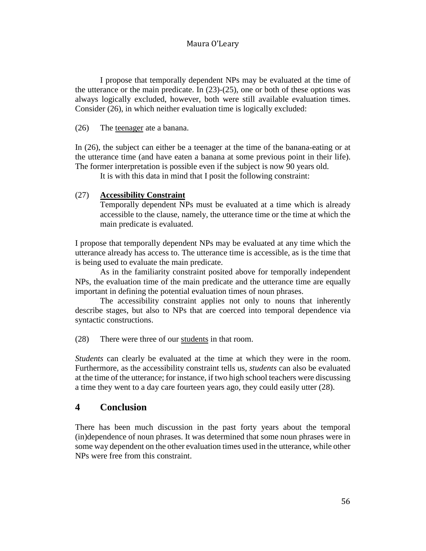I propose that temporally dependent NPs may be evaluated at the time of the utterance or the main predicate. In (23)-(25), one or both of these options was always logically excluded, however, both were still available evaluation times. Consider (26), in which neither evaluation time is logically excluded:

#### (26) The teenager ate a banana.

In (26), the subject can either be a teenager at the time of the banana-eating or at the utterance time (and have eaten a banana at some previous point in their life). The former interpretation is possible even if the subject is now 90 years old.

It is with this data in mind that I posit the following constraint:

## (27) **Accessibility Constraint**

Temporally dependent NPs must be evaluated at a time which is already accessible to the clause, namely, the utterance time or the time at which the main predicate is evaluated.

I propose that temporally dependent NPs may be evaluated at any time which the utterance already has access to. The utterance time is accessible, as is the time that is being used to evaluate the main predicate.

As in the familiarity constraint posited above for temporally independent NPs, the evaluation time of the main predicate and the utterance time are equally important in defining the potential evaluation times of noun phrases.

The accessibility constraint applies not only to nouns that inherently describe stages, but also to NPs that are coerced into temporal dependence via syntactic constructions.

(28) There were three of our students in that room.

*Students* can clearly be evaluated at the time at which they were in the room. Furthermore, as the accessibility constraint tells us, *students* can also be evaluated at the time of the utterance; for instance, if two high school teachers were discussing a time they went to a day care fourteen years ago, they could easily utter (28).

## **4 Conclusion**

There has been much discussion in the past forty years about the temporal (in)dependence of noun phrases. It was determined that some noun phrases were in some way dependent on the other evaluation times used in the utterance, while other NPs were free from this constraint.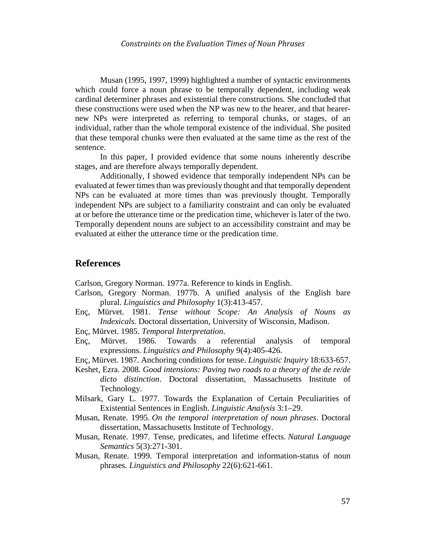Musan (1995, 1997, 1999) highlighted a number of syntactic environments which could force a noun phrase to be temporally dependent, including weak cardinal determiner phrases and existential there constructions. She concluded that these constructions were used when the NP was new to the hearer, and that hearernew NPs were interpreted as referring to temporal chunks, or stages, of an individual, rather than the whole temporal existence of the individual. She posited that these temporal chunks were then evaluated at the same time as the rest of the sentence.

In this paper, I provided evidence that some nouns inherently describe stages, and are therefore always temporally dependent.

Additionally, I showed evidence that temporally independent NPs can be evaluated at fewer times than was previously thought and that temporally dependent NPs can be evaluated at more times than was previously thought. Temporally independent NPs are subject to a familiarity constraint and can only be evaluated at or before the utterance time or the predication time, whichever is later of the two. Temporally dependent nouns are subject to an accessibility constraint and may be evaluated at either the utterance time or the predication time.

## **References**

Carlson, Gregory Norman. 1977a. Reference to kinds in English.

- Carlson, Gregory Norman. 1977b. A unified analysis of the English bare plural. *Linguistics and Philosophy* 1(3):413-457.
- Enç, Mürvet. 1981. *Tense without Scope: An Analysis of Nouns as Indexicals.* Doctoral dissertation, University of Wisconsin, Madison.
- Enç, Mürvet. 1985. *Temporal Interpretation*.
- Enç, Mürvet. 1986. Towards a referential analysis of temporal expressions. *Linguistics and Philosophy* 9(4):405-426.
- Enç, Mürvet. 1987. Anchoring conditions for tense. *Linguistic Inquiry* 18:633-657.
- Keshet, Ezra. 2008. *Good intensions: Paving two roads to a theory of the de re/de dicto distinction*. Doctoral dissertation, Massachusetts Institute of Technology.
- Milsark, Gary L. 1977. Towards the Explanation of Certain Peculiarities of Existential Sentences in English. *Linguistic Analysis* 3:1–29.
- Musan, Renate. 1995. *On the temporal interpretation of noun phrases*. Doctoral dissertation, Massachusetts Institute of Technology.
- Musan, Renate. 1997. Tense, predicates, and lifetime effects. *Natural Language Semantics* 5(3):271-301.
- Musan, Renate. 1999. Temporal interpretation and information-status of noun phrases. *Linguistics and Philosophy* 22(6):621-661.